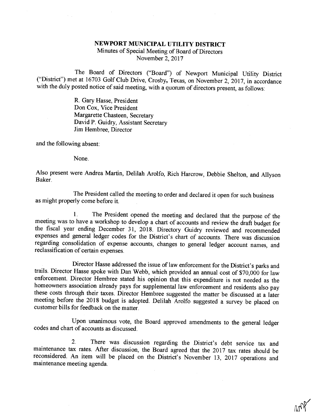## NEWPORT MUNICIPAL UTILITY DISTRICT

Minutes of Special Meeting of Board of Directors November 2, 2017

The Board of Directors ("Board") of Newport Municipal Utility District<br>("District") met at 16703 Golf Club Drive, Crosby, Texas, on November 2, 2017, in accordance<br>with the duly posted notice of said meeting, with a quorum

R. Gary Hasse, President Don Cox, Vice President Margarette Chasteen, Secretary David P. Guidry, Assistant Secretary Jim Hembree, Director

and the following absent:

None.

Also present were Andrea Martin, Delilah Arolfo, Rich Harcrow, Debbie Shelton, and Allyson Baker.

The President called the meeting to order and declared it open for such business as might properly come before it.

1. The President opened the meeting and declared that the purpose of the meeting was to have a workshop to develop a chart of accounts and review the draft budget for the fiscal year ending December 31, 2018. Directory Gui

Director Hasse addressed the issue of law enforcement for the District's parks and<br>trails. Director Hasse spoke with Dan Webb, which provided an annual cost of \$70,000 for law<br>enforcement. Director Hembree stated his opini

Upon unanimous vote, the Board approved amendments to the general ledger codes and chart of accounts as discussed.

2. There was discussion regarding the District's debt service tax and maintenance tax rates. After discussion, the Board agreed that the 2017 tax rates should be reconsidered. An item will be placed on the District's Novem

 $\sim$